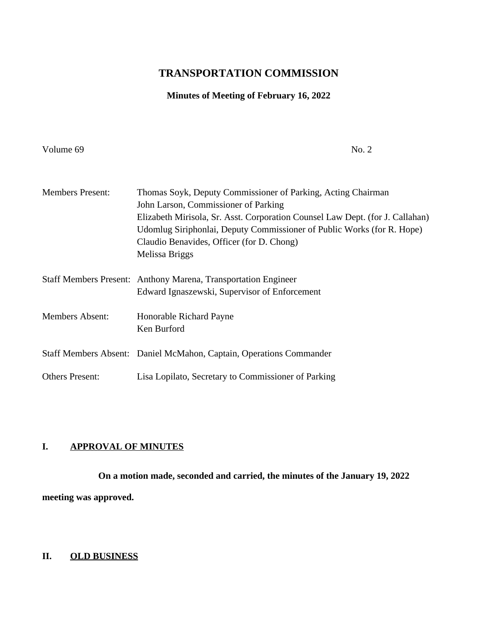## **TRANSPORTATION COMMISSION**

# **Minutes of Meeting of February 16, 2022**

Volume 69 No. 2

| <b>Members Present:</b> | Thomas Soyk, Deputy Commissioner of Parking, Acting Chairman                  |
|-------------------------|-------------------------------------------------------------------------------|
|                         | John Larson, Commissioner of Parking                                          |
|                         | Elizabeth Mirisola, Sr. Asst. Corporation Counsel Law Dept. (for J. Callahan) |
|                         | Udomlug Siriphonlai, Deputy Commissioner of Public Works (for R. Hope)        |
|                         | Claudio Benavides, Officer (for D. Chong)                                     |
|                         | Melissa Briggs                                                                |
|                         | Staff Members Present: Anthony Marena, Transportation Engineer                |
|                         | Edward Ignaszewski, Supervisor of Enforcement                                 |
| <b>Members Absent:</b>  | Honorable Richard Payne                                                       |
|                         | Ken Burford                                                                   |
|                         | Staff Members Absent: Daniel McMahon, Captain, Operations Commander           |
| <b>Others Present:</b>  | Lisa Lopilato, Secretary to Commissioner of Parking                           |

## **I. APPROVAL OF MINUTES**

**On a motion made, seconded and carried, the minutes of the January 19, 2022 meeting was approved.** 

## **II. OLD BUSINESS**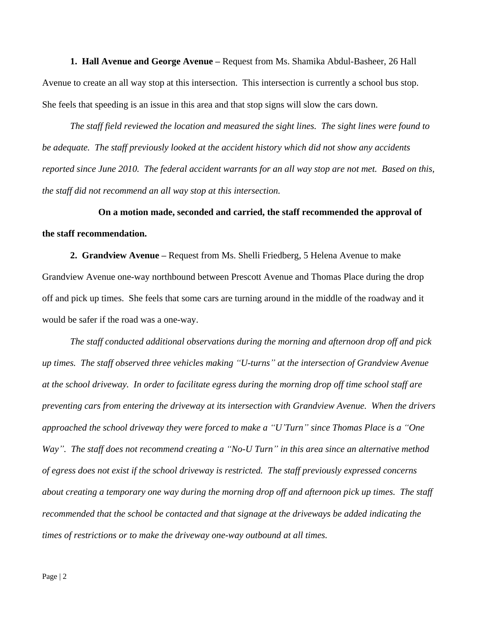**1. Hall Avenue and George Avenue –** Request from Ms. Shamika Abdul-Basheer, 26 Hall Avenue to create an all way stop at this intersection. This intersection is currently a school bus stop. She feels that speeding is an issue in this area and that stop signs will slow the cars down.

*The staff field reviewed the location and measured the sight lines. The sight lines were found to be adequate. The staff previously looked at the accident history which did not show any accidents reported since June 2010. The federal accident warrants for an all way stop are not met. Based on this, the staff did not recommend an all way stop at this intersection.*

**On a motion made, seconded and carried, the staff recommended the approval of the staff recommendation.**

**2. Grandview Avenue –** Request from Ms. Shelli Friedberg, 5 Helena Avenue to make Grandview Avenue one-way northbound between Prescott Avenue and Thomas Place during the drop off and pick up times. She feels that some cars are turning around in the middle of the roadway and it would be safer if the road was a one-way.

*The staff conducted additional observations during the morning and afternoon drop off and pick up times. The staff observed three vehicles making "U-turns" at the intersection of Grandview Avenue at the school driveway. In order to facilitate egress during the morning drop off time school staff are preventing cars from entering the driveway at its intersection with Grandview Avenue. When the drivers approached the school driveway they were forced to make a "U'Turn" since Thomas Place is a "One Way". The staff does not recommend creating a "No-U Turn" in this area since an alternative method of egress does not exist if the school driveway is restricted. The staff previously expressed concerns about creating a temporary one way during the morning drop off and afternoon pick up times. The staff recommended that the school be contacted and that signage at the driveways be added indicating the times of restrictions or to make the driveway one-way outbound at all times.*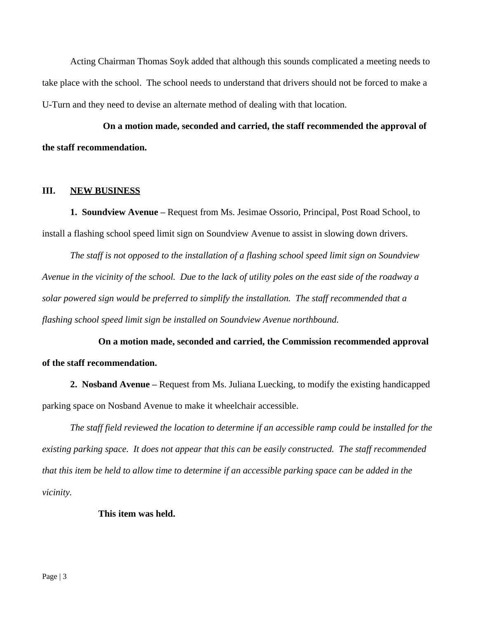Acting Chairman Thomas Soyk added that although this sounds complicated a meeting needs to take place with the school. The school needs to understand that drivers should not be forced to make a U-Turn and they need to devise an alternate method of dealing with that location.

**On a motion made, seconded and carried, the staff recommended the approval of the staff recommendation.**

#### **III. NEW BUSINESS**

**1. Soundview Avenue –** Request from Ms. Jesimae Ossorio, Principal, Post Road School, to install a flashing school speed limit sign on Soundview Avenue to assist in slowing down drivers.

*The staff is not opposed to the installation of a flashing school speed limit sign on Soundview Avenue in the vicinity of the school. Due to the lack of utility poles on the east side of the roadway a solar powered sign would be preferred to simplify the installation. The staff recommended that a flashing school speed limit sign be installed on Soundview Avenue northbound.*

**On a motion made, seconded and carried, the Commission recommended approval of the staff recommendation.**

**2. Nosband Avenue –** Request from Ms. Juliana Luecking, to modify the existing handicapped parking space on Nosband Avenue to make it wheelchair accessible.

*The staff field reviewed the location to determine if an accessible ramp could be installed for the existing parking space. It does not appear that this can be easily constructed. The staff recommended that this item be held to allow time to determine if an accessible parking space can be added in the vicinity.*

#### **This item was held.**